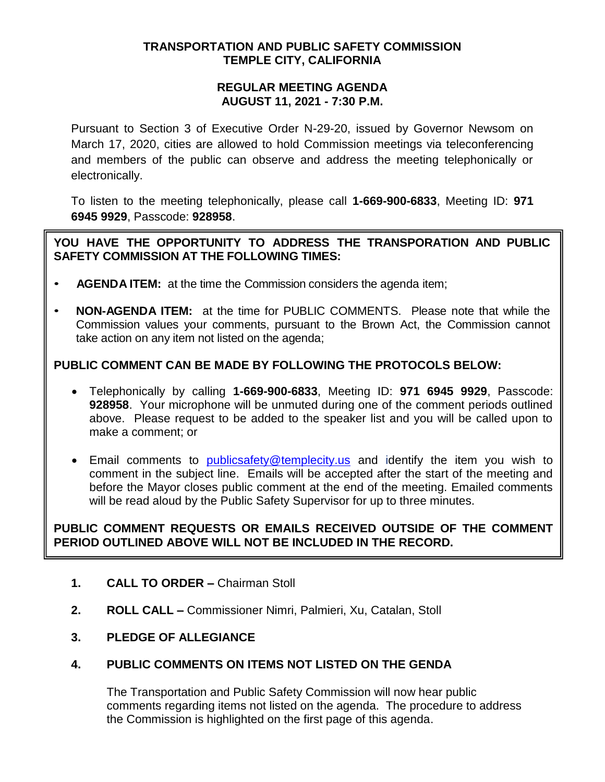## **TRANSPORTATION AND PUBLIC SAFETY COMMISSION TEMPLE CITY, CALIFORNIA**

### **REGULAR MEETING AGENDA AUGUST 11, 2021 - 7:30 P.M.**

Pursuant to Section 3 of Executive Order N-29-20, issued by Governor Newsom on March 17, 2020, cities are allowed to hold Commission meetings via teleconferencing and members of the public can observe and address the meeting telephonically or electronically.

To listen to the meeting telephonically, please call **1-669-900-6833**, Meeting ID: **971 6945 9929**, Passcode: **928958**.

## **YOU HAVE THE OPPORTUNITY TO ADDRESS THE TRANSPORATION AND PUBLIC SAFETY COMMISSION AT THE FOLLOWING TIMES:**

- **AGENDA ITEM:** at the time the Commission considers the agenda item;
- **NON-AGENDA ITEM:** at the time for PUBLIC COMMENTS. Please note that while the Commission values your comments, pursuant to the Brown Act, the Commission cannot take action on any item not listed on the agenda;

# **PUBLIC COMMENT CAN BE MADE BY FOLLOWING THE PROTOCOLS BELOW:**

- Telephonically by calling **1-669-900-6833**, Meeting ID: **971 6945 9929**, Passcode: **928958**. Your microphone will be unmuted during one of the comment periods outlined above. Please request to be added to the speaker list and you will be called upon to make a comment; or
- **Email comments to [publicsafety@templecity.us](mailto:publicsafety@templecity.us) and identify the item you wish to** comment in the subject line. Emails will be accepted after the start of the meeting and before the Mayor closes public comment at the end of the meeting. Emailed comments will be read aloud by the Public Safety Supervisor for up to three minutes.

# **PUBLIC COMMENT REQUESTS OR EMAILS RECEIVED OUTSIDE OF THE COMMENT PERIOD OUTLINED ABOVE WILL NOT BE INCLUDED IN THE RECORD.**

- **1. CALL TO ORDER –** Chairman Stoll
- **2. ROLL CALL –** Commissioner Nimri, Palmieri, Xu, Catalan, Stoll
- **3. PLEDGE OF ALLEGIANCE**

# **4. PUBLIC COMMENTS ON ITEMS NOT LISTED ON THE GENDA**

The Transportation and Public Safety Commission will now hear public comments regarding items not listed on the agenda. The procedure to address the Commission is highlighted on the first page of this agenda.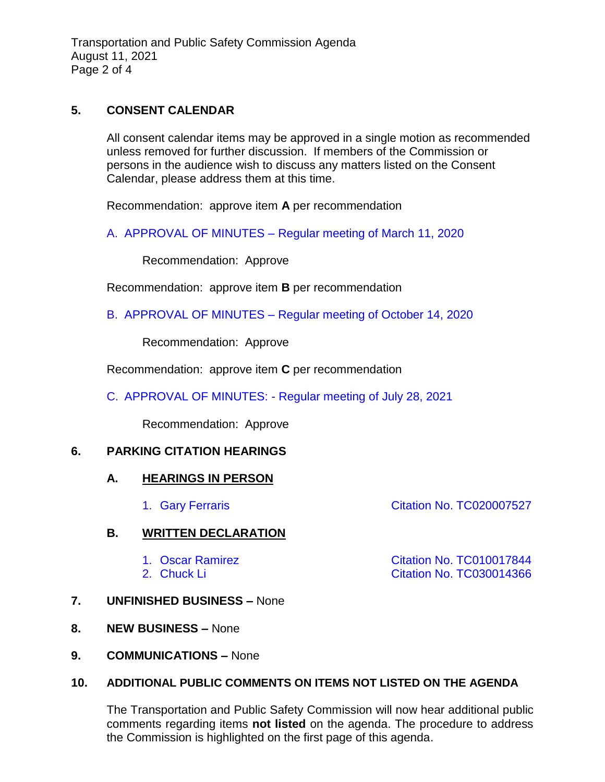Transportation and Public Safety Commission Agenda August 11, 2021 Page 2 of 4

### **5. CONSENT CALENDAR**

All consent calendar items may be approved in a single motion as recommended unless removed for further discussion. If members of the Commission or persons in the audience wish to discuss any matters listed on the Consent Calendar, please address them at this time.

Recommendation: approve item **A** per recommendation

A. APPROVAL OF MINUTES – [Regular meeting of March 11, 2020](https://www.ci.temple-city.ca.us/DocumentCenter/View/16606/TPSC-min-2020-03-11)

Recommendation: Approve

Recommendation: approve item **B** per recommendation

B. APPROVAL OF MINUTES – [Regular meeting of October 14, 2020](https://www.ci.temple-city.ca.us/DocumentCenter/View/16607/TPSC-min-2020-10-14)

Recommendation: Approve

Recommendation: approve item **C** per recommendation

C. APPROVAL OF MINUTES: - [Regular meeting of July 28, 2021](https://www.ci.temple-city.ca.us/DocumentCenter/View/16608/TPSC-min-2021-07-28)

Recommendation: Approve

#### **6. PARKING CITATION HEARINGS**

#### **A. HEARINGS IN PERSON**

#### **B. WRITTEN DECLARATION**

- 
- 
- **7. UNFINISHED BUSINESS –** None
- **8. NEW BUSINESS –** None
- **9. COMMUNICATIONS –** None

#### **10. ADDITIONAL PUBLIC COMMENTS ON ITEMS NOT LISTED ON THE AGENDA**

The Transportation and Public Safety Commission will now hear additional public comments regarding items **not listed** on the agenda. The procedure to address the Commission is highlighted on the first page of this agenda.

1. Gary Ferraris **Citation No. TC020007527** 

1. Oscar Ramirez [Citation No. TC010017844](https://www.ci.temple-city.ca.us/DocumentCenter/View/16610/6B1--TC010017844) 2. [Chuck Li Citation No. TC030014366](https://www.ci.temple-city.ca.us/DocumentCenter/View/16611/6B2--TC030014366)